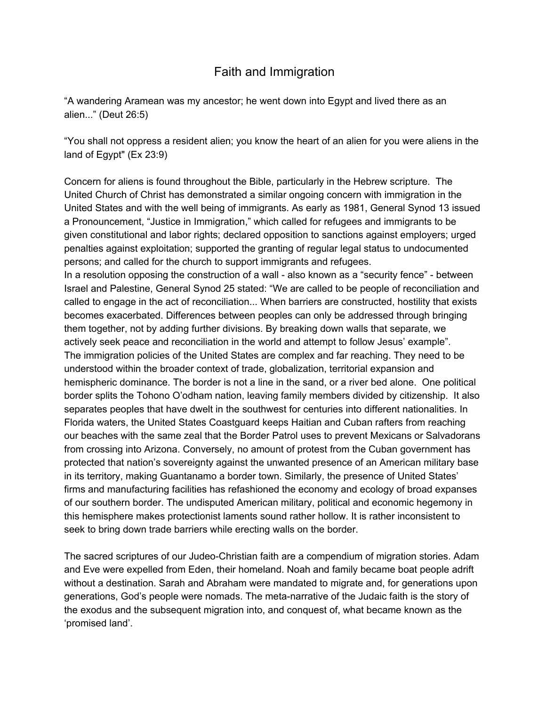## Faith and Immigration

"A wandering Aramean was my ancestor; he went down into Egypt and lived there as an alien..." (Deut 26:5)

"You shall not oppress a resident alien; you know the heart of an alien for you were aliens in the land of Egypt" (Ex 23:9)

Concern for aliens is found throughout the Bible, particularly in the Hebrew scripture. The United Church of Christ has demonstrated a similar ongoing concern with immigration in the United States and with the well being of immigrants. As early as 1981, General Synod 13 issued a Pronouncement, "Justice in Immigration," which called for refugees and immigrants to be given constitutional and labor rights; declared opposition to sanctions against employers; urged penalties against exploitation; supported the granting of regular legal status to undocumented persons; and called for the church to support immigrants and refugees.

In a resolution opposing the construction of a wall - also known as a "security fence" - between Israel and Palestine, General Synod 25 stated: "We are called to be people of reconciliation and called to engage in the act of reconciliation... When barriers are constructed, hostility that exists becomes exacerbated. Differences between peoples can only be addressed through bringing them together, not by adding further divisions. By breaking down walls that separate, we actively seek peace and reconciliation in the world and attempt to follow Jesus' example". The immigration policies of the United States are complex and far reaching. They need to be understood within the broader context of trade, globalization, territorial expansion and hemispheric dominance. The border is not a line in the sand, or a river bed alone. One political border splits the Tohono O'odham nation, leaving family members divided by citizenship. It also separates peoples that have dwelt in the southwest for centuries into different nationalities. In Florida waters, the United States Coastguard keeps Haitian and Cuban rafters from reaching our beaches with the same zeal that the Border Patrol uses to prevent Mexicans or Salvadorans from crossing into Arizona. Conversely, no amount of protest from the Cuban government has protected that nation's sovereignty against the unwanted presence of an American military base in its territory, making Guantanamo a border town. Similarly, the presence of United States' firms and manufacturing facilities has refashioned the economy and ecology of broad expanses of our southern border. The undisputed American military, political and economic hegemony in this hemisphere makes protectionist laments sound rather hollow. It is rather inconsistent to seek to bring down trade barriers while erecting walls on the border.

The sacred scriptures of our Judeo-Christian faith are a compendium of migration stories. Adam and Eve were expelled from Eden, their homeland. Noah and family became boat people adrift without a destination. Sarah and Abraham were mandated to migrate and, for generations upon generations, God's people were nomads. The meta-narrative of the Judaic faith is the story of the exodus and the subsequent migration into, and conquest of, what became known as the 'promised land'.